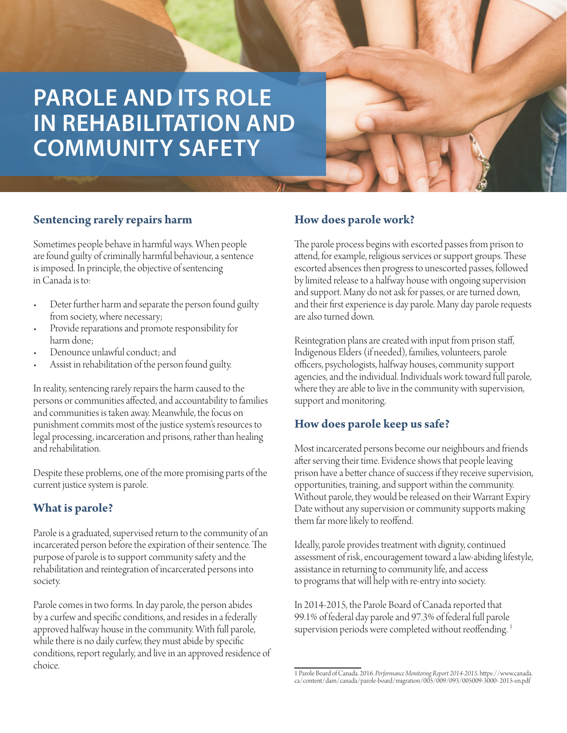# **PAROLE AND ITS ROLE IN REHABILITATION AND COMMUNITY SAFETY**

## **Sentencing rarely repairs harm**

Sometimes people behave in harmful ways. When people are found guilty of criminally harmful behaviour, a sentence is imposed. In principle, the objective of sentencing in Canada is to:

- Deter further harm and separate the person found guilty from society, where necessary;
- Provide reparations and promote responsibility for harm done;
- Denounce unlawful conduct; and
- Assist in rehabilitation of the person found guilty.

In reality, sentencing rarely repairs the harm caused to the persons or communities affected, and accountability to families and communities is taken away. Meanwhile, the focus on punishment commits most of the justice system's resources to legal processing, incarceration and prisons, rather than healing and rehabilitation.

Despite these problems, one of the more promising parts of the current justice system is parole.

## **What is parole?**

Parole is a graduated, supervised return to the community of an incarcerated person before the expiration of their sentence. The purpose of parole is to support community safety and the rehabilitation and reintegration of incarcerated persons into society.

Parole comes in two forms. In day parole, the person abides by a curfew and specific conditions, and resides in a federally approved halfway house in the community. With full parole, while there is no daily curfew, they must abide by specific conditions, report regularly, and live in an approved residence of choice.

## **How does parole work?**

The parole process begins with escorted passes from prison to attend, for example, religious services or support groups. These escorted absences then progress to unescorted passes, followed by limited release to a halfway house with ongoing supervision and support. Many do not ask for passes, or are turned down, and their first experience is day parole. Many day parole requests are also turned down.

Reintegration plans are created with input from prison staff, Indigenous Elders (if needed), families, volunteers, parole officers, psychologists, halfway houses, community support agencies, and the individual. Individuals work toward full parole, where they are able to live in the community with supervision, support and monitoring.

## **How does parole keep us safe?**

Most incarcerated persons become our neighbours and friends after serving their time. Evidence shows that people leaving prison have a better chance of success if they receive supervision, opportunities, training, and support within the community. Without parole, they would be released on their Warrant Expiry Date without any supervision or community supports making them far more likely to reoffend.

Ideally, parole provides treatment with dignity, continued assessment of risk, encouragement toward a law-abiding lifestyle, assistance in returning to community life, and access to programs that will help with re-entry into society.

In 2014-2015, the Parole Board of Canada reported that 99.1% of federal day parole and 97.3% of federal full parole supervision periods were completed without reoffending.<sup>1</sup>

<sup>1</sup> Parole Board of Canada. 2016. *Performance Monitoring Report 2014-2015*. https://www.canada. ca/content/dam/canada/parole-board/migration/005/009/093/005009-3000- 2015-en.pdf